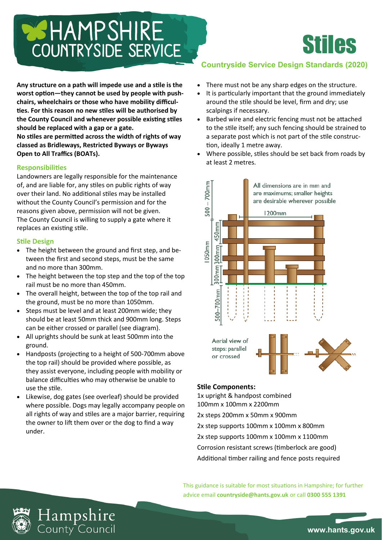# **BISHAMPSHIRE** COUNTRYSIDE SERVICE

**Any structure on a path will impede use and a stile is the worst option—they cannot be used by people with pushchairs, wheelchairs or those who have mobility difficulties. For this reason no new stiles will be authorised by the County Council and whenever possible existing stiles should be replaced with a gap or a gate.**

**No stiles are permitted across the width of rights of way classed as Bridleways, Restricted Byways or Byways Open to All Traffics (BOATs).**

## **Responsibilities**

Landowners are legally responsible for the maintenance of, and are liable for, any stiles on public rights of way over their land. No additional stiles may be installed without the County Council's permission and for the reasons given above, permission will not be given. The County Council is willing to supply a gate where it replaces an existing stile.

## **Stile Design**

- The height between the ground and first step, and between the first and second steps, must be the same and no more than 300mm.
- The height between the top step and the top of the top rail must be no more than 450mm.
- The overall height, between the top of the top rail and the ground, must be no more than 1050mm.
- Steps must be level and at least 200mm wide; they should be at least 50mm thick and 900mm long. Steps can be either crossed or parallel (see diagram).
- All uprights should be sunk at least 500mm into the ground.
- Handposts (projecting to a height of 500-700mm above the top rail) should be provided where possible, as they assist everyone, including people with mobility or balance difficulties who may otherwise be unable to use the stile.
- Likewise, dog gates (see overleaf) should be provided where possible. Dogs may legally accompany people on all rights of way and stiles are a major barrier, requiring the owner to lift them over or the dog to find a way under.

## **Countryside Service Design Standards (2020)**

Stiles

- There must not be any sharp edges on the structure.
- It is particularly important that the ground immediately around the stile should be level, firm and dry; use scalpings if necessary.
- Barbed wire and electric fencing must not be attached to the stile itself; any such fencing should be strained to a separate post which is not part of the stile construction, ideally 1 metre away.
- Where possible, stiles should be set back from roads by at least 2 metres.



## **Stile Components:**

1x upright & handpost combined 100mm x 100mm x 2200mm 2x steps 200mm x 50mm x 900mm 2x step supports 100mm x 100mm x 800mm 2x step supports 100mm x 100mm x 1100mm Corrosion resistant screws (timberlock are good) Additional timber railing and fence posts required

This guidance is suitable for most situations in Hampshire; for further advice email **countryside@hants.gov.uk** or call **0300 555 1391**